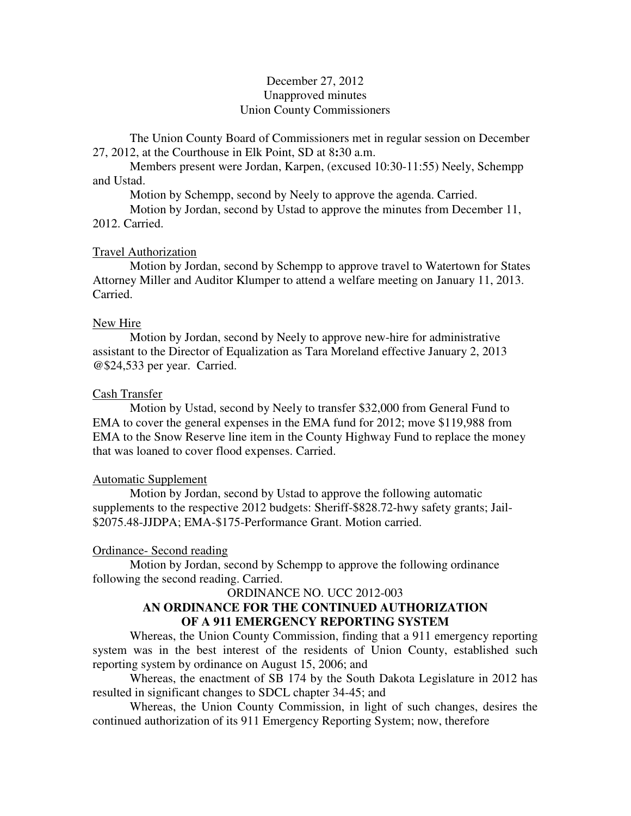# December 27, 2012 Unapproved minutes Union County Commissioners

The Union County Board of Commissioners met in regular session on December 27, 2012, at the Courthouse in Elk Point, SD at 8**:**30 a.m.

 Members present were Jordan, Karpen, (excused 10:30-11:55) Neely, Schempp and Ustad.

Motion by Schempp, second by Neely to approve the agenda. Carried.

Motion by Jordan, second by Ustad to approve the minutes from December 11, 2012. Carried.

### Travel Authorization

 Motion by Jordan, second by Schempp to approve travel to Watertown for States Attorney Miller and Auditor Klumper to attend a welfare meeting on January 11, 2013. Carried.

### New Hire

 Motion by Jordan, second by Neely to approve new-hire for administrative assistant to the Director of Equalization as Tara Moreland effective January 2, 2013 @\$24,533 per year. Carried.

#### Cash Transfer

 Motion by Ustad, second by Neely to transfer \$32,000 from General Fund to EMA to cover the general expenses in the EMA fund for 2012; move \$119,988 from EMA to the Snow Reserve line item in the County Highway Fund to replace the money that was loaned to cover flood expenses. Carried.

#### Automatic Supplement

 Motion by Jordan, second by Ustad to approve the following automatic supplements to the respective 2012 budgets: Sheriff-\$828.72-hwy safety grants; Jail- \$2075.48-JJDPA; EMA-\$175-Performance Grant. Motion carried.

#### Ordinance- Second reading

 Motion by Jordan, second by Schempp to approve the following ordinance following the second reading. Carried.

## ORDINANCE NO. UCC 2012-003

## **AN ORDINANCE FOR THE CONTINUED AUTHORIZATION OF A 911 EMERGENCY REPORTING SYSTEM**

 Whereas, the Union County Commission, finding that a 911 emergency reporting system was in the best interest of the residents of Union County, established such reporting system by ordinance on August 15, 2006; and

 Whereas, the enactment of SB 174 by the South Dakota Legislature in 2012 has resulted in significant changes to SDCL chapter 34-45; and

 Whereas, the Union County Commission, in light of such changes, desires the continued authorization of its 911 Emergency Reporting System; now, therefore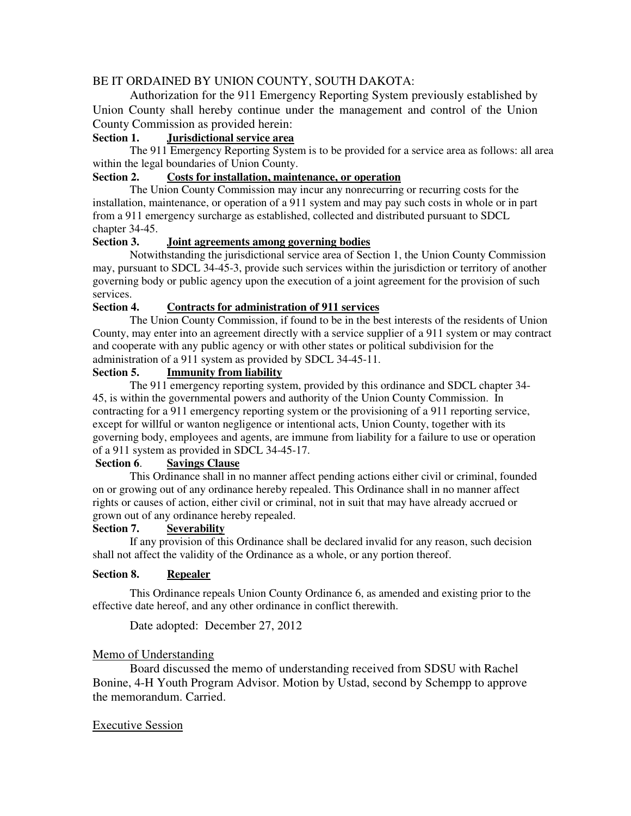# BE IT ORDAINED BY UNION COUNTY, SOUTH DAKOTA:

Authorization for the 911 Emergency Reporting System previously established by Union County shall hereby continue under the management and control of the Union County Commission as provided herein:

# **Section 1. Jurisdictional service area**

The 911 Emergency Reporting System is to be provided for a service area as follows: all area within the legal boundaries of Union County.

## **Section 2. Costs for installation, maintenance, or operation**

The Union County Commission may incur any nonrecurring or recurring costs for the installation, maintenance, or operation of a 911 system and may pay such costs in whole or in part from a 911 emergency surcharge as established, collected and distributed pursuant to SDCL chapter 34-45.

#### **Section 3. Joint agreements among governing bodies**

Notwithstanding the jurisdictional service area of Section 1, the Union County Commission may, pursuant to SDCL 34-45-3, provide such services within the jurisdiction or territory of another governing body or public agency upon the execution of a joint agreement for the provision of such services.

# **Section 4. Contracts for administration of 911 services**

 The Union County Commission, if found to be in the best interests of the residents of Union County, may enter into an agreement directly with a service supplier of a 911 system or may contract and cooperate with any public agency or with other states or political subdivision for the administration of a 911 system as provided by SDCL 34-45-11.

## **Section 5. Immunity from liability**

 The 911 emergency reporting system, provided by this ordinance and SDCL chapter 34- 45, is within the governmental powers and authority of the Union County Commission. In contracting for a 911 emergency reporting system or the provisioning of a 911 reporting service, except for willful or wanton negligence or intentional acts, Union County, together with its governing body, employees and agents, are immune from liability for a failure to use or operation of a 911 system as provided in SDCL 34-45-17.

### **Section 6**. **Savings Clause**

This Ordinance shall in no manner affect pending actions either civil or criminal, founded on or growing out of any ordinance hereby repealed. This Ordinance shall in no manner affect rights or causes of action, either civil or criminal, not in suit that may have already accrued or grown out of any ordinance hereby repealed.

#### **Section 7. Severability**

If any provision of this Ordinance shall be declared invalid for any reason, such decision shall not affect the validity of the Ordinance as a whole, or any portion thereof.

### **Section 8. Repealer**

This Ordinance repeals Union County Ordinance 6, as amended and existing prior to the effective date hereof, and any other ordinance in conflict therewith.

Date adopted: December 27, 2012

### Memo of Understanding

 Board discussed the memo of understanding received from SDSU with Rachel Bonine, 4-H Youth Program Advisor. Motion by Ustad, second by Schempp to approve the memorandum. Carried.

### Executive Session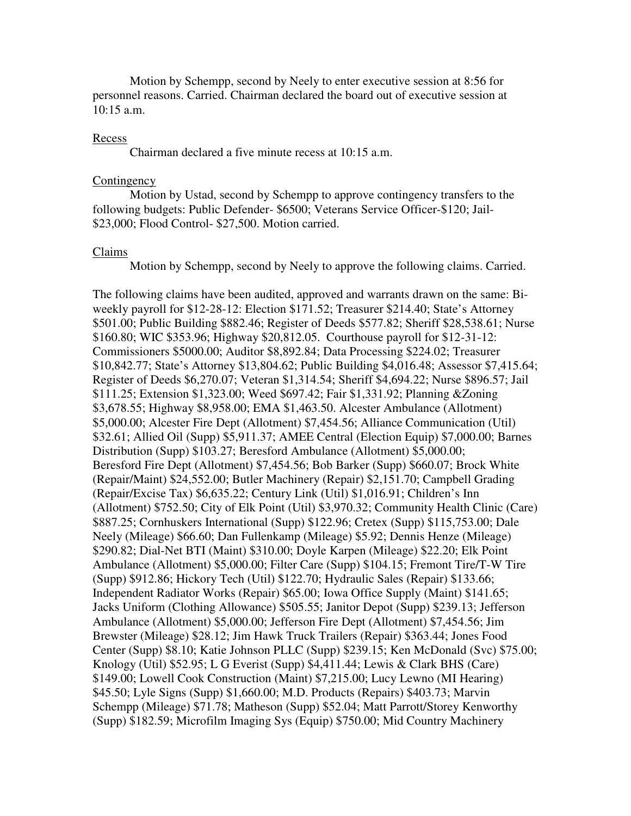Motion by Schempp, second by Neely to enter executive session at 8:56 for personnel reasons. Carried. Chairman declared the board out of executive session at  $10:15$  a.m.

#### Recess

Chairman declared a five minute recess at 10:15 a.m.

#### **Contingency**

 Motion by Ustad, second by Schempp to approve contingency transfers to the following budgets: Public Defender- \$6500; Veterans Service Officer-\$120; Jail- \$23,000; Flood Control- \$27,500. Motion carried.

#### Claims

Motion by Schempp, second by Neely to approve the following claims. Carried.

The following claims have been audited, approved and warrants drawn on the same: Biweekly payroll for \$12-28-12: Election \$171.52; Treasurer \$214.40; State's Attorney \$501.00; Public Building \$882.46; Register of Deeds \$577.82; Sheriff \$28,538.61; Nurse \$160.80; WIC \$353.96; Highway \$20,812.05. Courthouse payroll for \$12-31-12: Commissioners \$5000.00; Auditor \$8,892.84; Data Processing \$224.02; Treasurer \$10,842.77; State's Attorney \$13,804.62; Public Building \$4,016.48; Assessor \$7,415.64; Register of Deeds \$6,270.07; Veteran \$1,314.54; Sheriff \$4,694.22; Nurse \$896.57; Jail \$111.25; Extension \$1,323.00; Weed \$697.42; Fair \$1,331.92; Planning &Zoning \$3,678.55; Highway \$8,958.00; EMA \$1,463.50. Alcester Ambulance (Allotment) \$5,000.00; Alcester Fire Dept (Allotment) \$7,454.56; Alliance Communication (Util) \$32.61; Allied Oil (Supp) \$5,911.37; AMEE Central (Election Equip) \$7,000.00; Barnes Distribution (Supp) \$103.27; Beresford Ambulance (Allotment) \$5,000.00; Beresford Fire Dept (Allotment) \$7,454.56; Bob Barker (Supp) \$660.07; Brock White (Repair/Maint) \$24,552.00; Butler Machinery (Repair) \$2,151.70; Campbell Grading (Repair/Excise Tax) \$6,635.22; Century Link (Util) \$1,016.91; Children's Inn (Allotment) \$752.50; City of Elk Point (Util) \$3,970.32; Community Health Clinic (Care) \$887.25; Cornhuskers International (Supp) \$122.96; Cretex (Supp) \$115,753.00; Dale Neely (Mileage) \$66.60; Dan Fullenkamp (Mileage) \$5.92; Dennis Henze (Mileage) \$290.82; Dial-Net BTI (Maint) \$310.00; Doyle Karpen (Mileage) \$22.20; Elk Point Ambulance (Allotment) \$5,000.00; Filter Care (Supp) \$104.15; Fremont Tire/T-W Tire (Supp) \$912.86; Hickory Tech (Util) \$122.70; Hydraulic Sales (Repair) \$133.66; Independent Radiator Works (Repair) \$65.00; Iowa Office Supply (Maint) \$141.65; Jacks Uniform (Clothing Allowance) \$505.55; Janitor Depot (Supp) \$239.13; Jefferson Ambulance (Allotment) \$5,000.00; Jefferson Fire Dept (Allotment) \$7,454.56; Jim Brewster (Mileage) \$28.12; Jim Hawk Truck Trailers (Repair) \$363.44; Jones Food Center (Supp) \$8.10; Katie Johnson PLLC (Supp) \$239.15; Ken McDonald (Svc) \$75.00; Knology (Util) \$52.95; L G Everist (Supp) \$4,411.44; Lewis & Clark BHS (Care) \$149.00; Lowell Cook Construction (Maint) \$7,215.00; Lucy Lewno (MI Hearing) \$45.50; Lyle Signs (Supp) \$1,660.00; M.D. Products (Repairs) \$403.73; Marvin Schempp (Mileage) \$71.78; Matheson (Supp) \$52.04; Matt Parrott/Storey Kenworthy (Supp) \$182.59; Microfilm Imaging Sys (Equip) \$750.00; Mid Country Machinery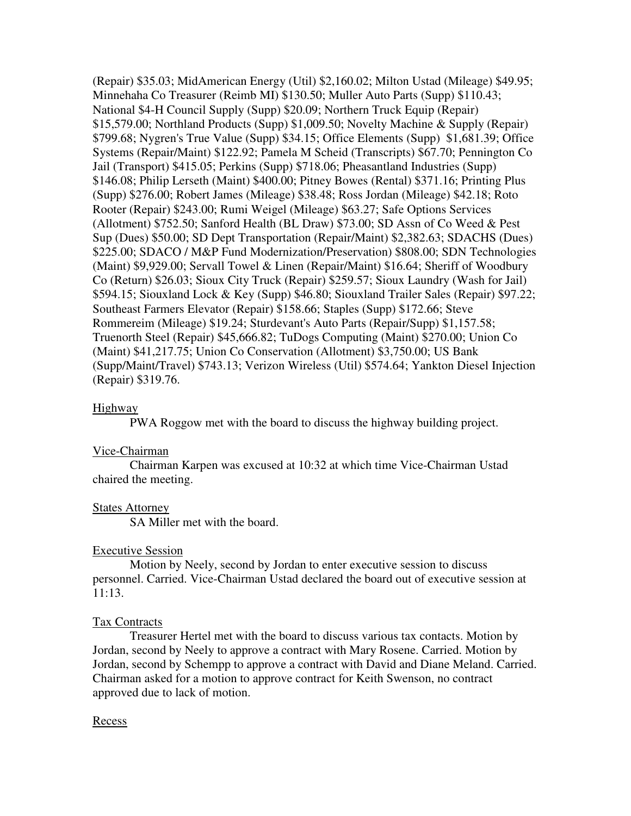(Repair) \$35.03; MidAmerican Energy (Util) \$2,160.02; Milton Ustad (Mileage) \$49.95; Minnehaha Co Treasurer (Reimb MI) \$130.50; Muller Auto Parts (Supp) \$110.43; National \$4-H Council Supply (Supp) \$20.09; Northern Truck Equip (Repair) \$15,579.00; Northland Products (Supp) \$1,009.50; Novelty Machine & Supply (Repair) \$799.68; Nygren's True Value (Supp) \$34.15; Office Elements (Supp) \$1,681.39; Office Systems (Repair/Maint) \$122.92; Pamela M Scheid (Transcripts) \$67.70; Pennington Co Jail (Transport) \$415.05; Perkins (Supp) \$718.06; Pheasantland Industries (Supp) \$146.08; Philip Lerseth (Maint) \$400.00; Pitney Bowes (Rental) \$371.16; Printing Plus (Supp) \$276.00; Robert James (Mileage) \$38.48; Ross Jordan (Mileage) \$42.18; Roto Rooter (Repair) \$243.00; Rumi Weigel (Mileage) \$63.27; Safe Options Services (Allotment) \$752.50; Sanford Health (BL Draw) \$73.00; SD Assn of Co Weed & Pest Sup (Dues) \$50.00; SD Dept Transportation (Repair/Maint) \$2,382.63; SDACHS (Dues) \$225.00; SDACO / M&P Fund Modernization/Preservation) \$808.00; SDN Technologies (Maint) \$9,929.00; Servall Towel & Linen (Repair/Maint) \$16.64; Sheriff of Woodbury Co (Return) \$26.03; Sioux City Truck (Repair) \$259.57; Sioux Laundry (Wash for Jail) \$594.15; Siouxland Lock & Key (Supp) \$46.80; Siouxland Trailer Sales (Repair) \$97.22; Southeast Farmers Elevator (Repair) \$158.66; Staples (Supp) \$172.66; Steve Rommereim (Mileage) \$19.24; Sturdevant's Auto Parts (Repair/Supp) \$1,157.58; Truenorth Steel (Repair) \$45,666.82; TuDogs Computing (Maint) \$270.00; Union Co (Maint) \$41,217.75; Union Co Conservation (Allotment) \$3,750.00; US Bank (Supp/Maint/Travel) \$743.13; Verizon Wireless (Util) \$574.64; Yankton Diesel Injection (Repair) \$319.76.

### Highway

PWA Roggow met with the board to discuss the highway building project.

# Vice-Chairman

 Chairman Karpen was excused at 10:32 at which time Vice-Chairman Ustad chaired the meeting.

# States Attorney

SA Miller met with the board.

### Executive Session

 Motion by Neely, second by Jordan to enter executive session to discuss personnel. Carried. Vice-Chairman Ustad declared the board out of executive session at 11:13.

### Tax Contracts

 Treasurer Hertel met with the board to discuss various tax contacts. Motion by Jordan, second by Neely to approve a contract with Mary Rosene. Carried. Motion by Jordan, second by Schempp to approve a contract with David and Diane Meland. Carried. Chairman asked for a motion to approve contract for Keith Swenson, no contract approved due to lack of motion.

### Recess